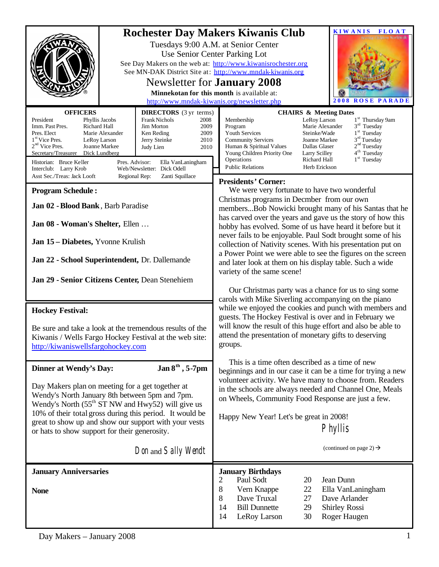| <b>OFFICERS</b>                                                                                                                                                                                                                                                                                                                                                                                                                                                                                          | <b>KIWANIS</b><br><b>Rochester Day Makers Kiwanis Club</b><br><b>FLOAT</b><br>Tuesdays 9:00 A.M. at Senior Center<br>Use Senior Center Parking Lot<br>See Day Makers on the web at: http://www.kiwanisrochester.org<br>See MN-DAK District Site at: http://www.mndak-kiwanis.org<br>Newsletter for <b>January</b> 2008<br>Minnekotan for this month is available at:<br>http://www.mndak-kiwanis.org/newsletter.php<br>2008<br><b>ROSE</b><br><b>PARADE</b>                                                                               |  |  |  |
|----------------------------------------------------------------------------------------------------------------------------------------------------------------------------------------------------------------------------------------------------------------------------------------------------------------------------------------------------------------------------------------------------------------------------------------------------------------------------------------------------------|-------------------------------------------------------------------------------------------------------------------------------------------------------------------------------------------------------------------------------------------------------------------------------------------------------------------------------------------------------------------------------------------------------------------------------------------------------------------------------------------------------------------------------------------|--|--|--|
| <b>DIRECTORS</b> (3 yr terms)<br>President<br>Frank Nichols<br>Phyllis Jacobs<br>2008<br>Richard Hall<br>Jim Morton<br>Imm. Past Pres.<br>2009<br>Pres. Elect<br>Marie Alexander<br>2009<br>Ken Reding<br>1 <sup>st</sup> Vice Pres.<br>2010<br>LeRoy Larson<br>Jerry Steinke<br>$2nd$ Vice Pres.<br>Joanne Markee<br>2010<br>Judy Lien<br>Secretary/Treasurer<br>Dick Lundberg<br>Historian: Bruce Keller<br>Pres. Advisor:<br>Ella VanLaningham<br>Web/Newsletter: Dick Odell<br>Interclub: Larry Krob | <b>CHAIRS &amp; Meeting Dates</b><br>1 <sup>st</sup> Thursday 9am<br>Membership<br>LeRoy Larson<br>$3rd$ Tuesday<br>Program<br>Marie Alexander<br>1 <sup>st</sup> Tuesday<br><b>Youth Services</b><br>Steinke/Wade<br>$3rd$ Tuesday<br><b>Community Services</b><br>Joanne Markee<br>2 <sup>nd</sup> Tuesday<br>Human & Spiritual Values<br>Dallas Glaser<br>4 <sup>th</sup> Tuesday<br>Young Children Priority One<br>Larry Scilley<br>1 <sup>st</sup> Tuesday<br>Operations<br>Richard Hall<br><b>Public Relations</b><br>Herb Erickson |  |  |  |
| Asst Sec./Treas: Jack Looft<br>Zanti Squillace<br>Regional Rep:<br><b>Program Schedule:</b><br>Jan 02 - Blood Bank, Barb Paradise<br>Jan 08 - Woman's Shelter, Ellen                                                                                                                                                                                                                                                                                                                                     | <b>Presidents' Corner:</b><br>We were very fortunate to have two wonderful<br>Christmas programs in Decmber from our own<br>membersBob Nowicki brought many of his Santas that he<br>has carved over the years and gave us the story of how this                                                                                                                                                                                                                                                                                          |  |  |  |
| Jan 15 - Diabetes, Yvonne Krulish<br>Jan 22 - School Superintendent, Dr. Dallemande                                                                                                                                                                                                                                                                                                                                                                                                                      | hobby has evolved. Some of us have heard it before but it<br>never fails to be enjoyable. Paul Sodt brought some of his<br>collection of Nativity scenes. With his presentation put on<br>a Power Point we were able to see the figures on the screen<br>and later look at them on his display table. Such a wide<br>variety of the same scene!                                                                                                                                                                                           |  |  |  |
| Jan 29 - Senior Citizens Center, Dean Stenehiem<br><b>Hockey Festival:</b><br>Be sure and take a look at the tremendous results of the<br>Kiwanis / Wells Fargo Hockey Festival at the web site:<br>http://kiwaniswellsfargohockey.com                                                                                                                                                                                                                                                                   | Our Christmas party was a chance for us to sing some<br>carols with Mike Siverling accompanying on the piano<br>while we enjoyed the cookies and punch with members and<br>guests. The Hockey Festival is over and in February we<br>will know the result of this huge effort and also be able to<br>attend the presentation of monetary gifts to deserving<br>groups.                                                                                                                                                                    |  |  |  |
| Jan $8^{\text{th}}$ , 5-7pm<br><b>Dinner at Wendy's Day:</b><br>Day Makers plan on meeting for a get together at<br>Wendy's North January 8th between 5pm and 7pm.<br>Wendy's North $(55th ST NW$ and Hwy52) will give us<br>10% of their total gross during this period. It would be<br>great to show up and show our support with your vests<br>or hats to show support for their generosity.<br>Don and Sally Wendt                                                                                   | This is a time often described as a time of new<br>beginnings and in our case it can be a time for trying a new<br>volunteer activity. We have many to choose from. Readers<br>in the schools are always needed and Channel One, Meals<br>on Wheels, Community Food Response are just a few.<br>Happy New Year! Let's be great in 2008!<br><b>Phyllis</b><br>(continued on page 2) $\rightarrow$                                                                                                                                          |  |  |  |
|                                                                                                                                                                                                                                                                                                                                                                                                                                                                                                          |                                                                                                                                                                                                                                                                                                                                                                                                                                                                                                                                           |  |  |  |
| <b>January Anniversaries</b><br><b>None</b>                                                                                                                                                                                                                                                                                                                                                                                                                                                              | <b>January Birthdays</b><br>Jean Dunn<br>2<br>Paul Sodt<br>20<br>$8\,$<br>Vern Knappe<br>22<br>Ella VanLaningham<br>8<br>Dave Truxal<br>Dave Arlander<br>27<br>14<br><b>Bill Dunnette</b><br>29<br><b>Shirley Rossi</b><br>Roger Haugen<br>14<br>LeRoy Larson<br>30                                                                                                                                                                                                                                                                       |  |  |  |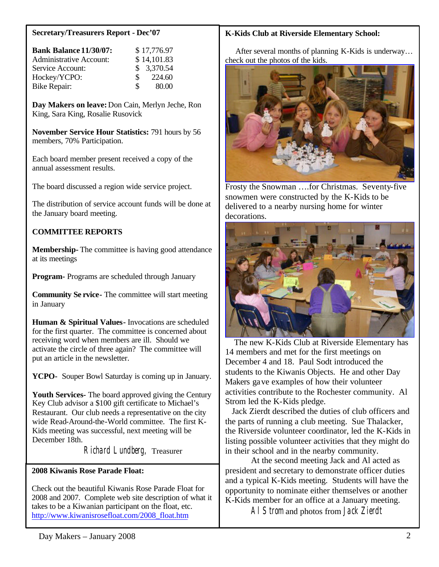#### **Secretary/Treasurers Report - Dec'07**

| <b>Bank Balance 11/30/07:</b>  |              | \$17,776.97 |
|--------------------------------|--------------|-------------|
| <b>Administrative Account:</b> |              | \$14,101.83 |
| Service Account:               |              | \$3,370.54  |
| Hockey/YCPO:                   | <sup>S</sup> | 224.60      |
| Bike Repair:                   | S.           | 80.00       |

**Day Makers on leave:** Don Cain, Merlyn Jeche, Ron King, Sara King, Rosalie Rusovick

**November Service Hour Statistics:** 791 hours by 56 members, 70% Participation.

Each board member present received a copy of the annual assessment results.

The board discussed a region wide service project.

The distribution of service account funds will be done at the January board meeting.

# **COMMITTEE REPORTS**

**Membership-** The committee is having good attendance at its meetings

**Program-** Programs are scheduled through January

**Community Se rvice-** The committee will start meeting in January

**Human & Spiritual Values-** Invocations are scheduled for the first quarter. The committee is concerned about receiving word when members are ill. Should we activate the circle of three again? The committee will put an article in the newsletter.

**YCPO-** Souper Bowl Saturday is coming up in January.

**Youth Services-** The board approved giving the Century Key Club advisor a \$100 gift certificate to Michael's Restaurant. Our club needs a representative on the city wide Read-Around-the-World committee. The first K-Kids meeting was successful, next meeting will be December 18th.

Richard Lundberg, Treasurer

### **2008 Kiwanis Rose Parade Float:**

Check out the beautiful Kiwanis Rose Parade Float for 2008 and 2007. Complete web site description of what it takes to be a Kiwanian participant on the float, etc. [http://www.kiwanisrosefloat.com/2008\\_float.htm](http://www.kiwanisrosefloat.com/2008_float.htm)  $\overline{a}$ 

## **K-Kids Club at Riverside Elementary School:**

 After several months of planning K-Kids is underway… check out the photos of the kids.



Frosty the Snowman ….for Christmas. Seventy-five snowmen were constructed by the K-Kids to be delivered to a nearby nursing home for winter decorations.



 The new K-Kids Club at Riverside Elementary has 14 members and met for the first meetings on December 4 and 18. Paul Sodt introduced the students to the Kiwanis Objects. He and other Day Makers gave examples of how their volunteer activities contribute to the Rochester community. Al Strom led the K-Kids pledge.

 Jack Zierdt described the duties of club officers and the parts of running a club meeting. Sue Thalacker, the Riverside volunteer coordinator, led the K-Kids in listing possible volunteer activities that they might do in their school and in the nearby community.

At the second meeting Jack and Al acted as president and secretary to demonstrate officer duties and a typical K-Kids meeting. Students will have the opportunity to nominate either themselves or another K-Kids member for an office at a January meeting.

Al Strom and photos from Jack Zierdt